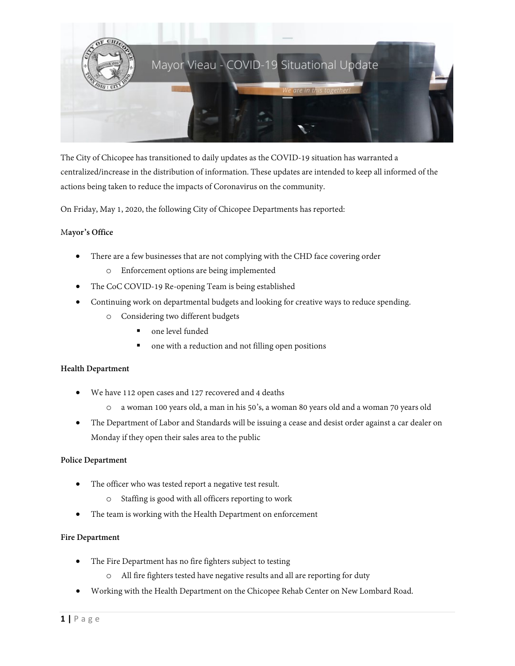

The City of Chicopee has transitioned to daily updates as the COVID-19 situation has warranted a centralized/increase in the distribution of information. These updates are intended to keep all informed of the actions being taken to reduce the impacts of Coronavirus on the community.

On Friday, May 1, 2020, the following City of Chicopee Departments has reported:

## M**ayor's Office**

- There are a few businesses that are not complying with the CHD face covering order
	- o Enforcement options are being implemented
- The CoC COVID-19 Re-opening Team is being established
- Continuing work on departmental budgets and looking for creative ways to reduce spending.
	- o Considering two different budgets
		- one level funded
		- one with a reduction and not filling open positions

### **Health Department**

- We have 112 open cases and 127 recovered and 4 deaths
	- o a woman 100 years old, a man in his 50's, a woman 80 years old and a woman 70 years old
- The Department of Labor and Standards will be issuing a cease and desist order against a car dealer on Monday if they open their sales area to the public

### **Police Department**

- The officer who was tested report a negative test result.
	- o Staffing is good with all officers reporting to work
- The team is working with the Health Department on enforcement

### **Fire Department**

- The Fire Department has no fire fighters subject to testing
	- o All fire fighters tested have negative results and all are reporting for duty
- Working with the Health Department on the Chicopee Rehab Center on New Lombard Road.